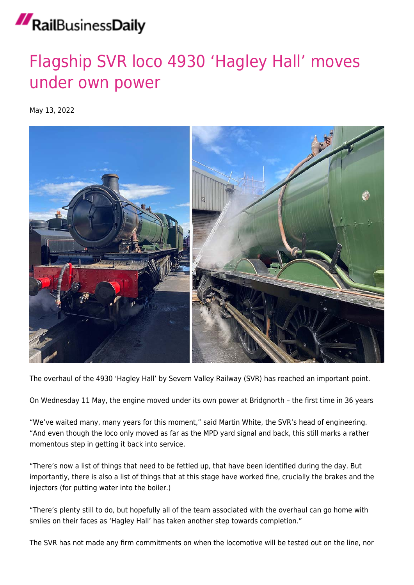## RailBusinessDaily

## [Flagship SVR loco 4930 'Hagley Hall' moves](https://news.railbusinessdaily.com/flagship-svr-loco-4930-hagley-hall-moves-under-own-power/) [under own power](https://news.railbusinessdaily.com/flagship-svr-loco-4930-hagley-hall-moves-under-own-power/)

May 13, 2022



The overhaul of the 4930 'Hagley Hall' by Severn Valley Railway (SVR) has reached an important point.

On Wednesday 11 May, the engine moved under its own power at Bridgnorth – the first time in 36 years

"We've waited many, many years for this moment," said Martin White, the SVR's head of engineering. "And even though the loco only moved as far as the MPD yard signal and back, this still marks a rather momentous step in getting it back into service.

"There's now a list of things that need to be fettled up, that have been identified during the day. But importantly, there is also a list of things that at this stage have worked fine, crucially the brakes and the injectors (for putting water into the boiler.)

"There's plenty still to do, but hopefully all of the team associated with the overhaul can go home with smiles on their faces as 'Hagley Hall' has taken another step towards completion."

The SVR has not made any firm commitments on when the locomotive will be tested out on the line, nor